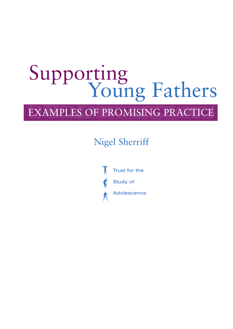# Supporting<br>Young Fathers

# EXAMPLES OF PROMISING PRACTICE

# Nigel Sherriff

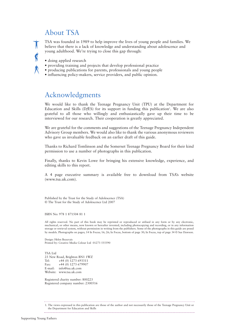## About TSA

TSA was founded in 1989 to help improve the lives of young people and families. We believe that there is a lack of knowledge and understanding about adolescence and young adulthood. We're trying to close this gap through:

• doing applied research

 $\dot{\S}$ 

- providing training and projects that develop professional practice
- producing publications for parents, professionals and young people
- influencing policy-makers, service providers, and public opinion.

## Acknowledgments

We would like to thank the Teenage Pregnancy Unit (TPU) at the Department for Education and Skills (D*fES*) for its support in funding this publication<sup>1</sup>. We are also grateful to all those who willingly and enthusiastically gave up their time to be interviewed for our research. Their cooperation is greatly appreciated.

We are grateful for the comments and suggestions of the Teenage Pregnancy Independent Advisory Group members. We would also like to thank the various anonymous reviewers who gave us invaluable feedback on an earlier draft of this guide.

Thanks to Richard Tomlinson and the Somerset Teenage Pregnancy Board for their kind permission to use a number of photographs in this publication.

Finally, thanks to Kevin Lowe for bringing his extensive knowledge, experience, and editing skills to this report.

A 4 page executive summary is available free to download from TSA's website (www.tsa.uk.com).

Published by the Trust for the Study of Adolescence (TSA) © The Trust for the Study of Adolescence Ltd 2007

ISBN No: 978 1 871504 81 1

All rights reserved. No part of this book may be reprinted or reproduced or utilised in any form or by any electronic, mechanical, or other means, now known or hereafter invented, including photocopying and recording, or in any information storage or retrieval system, without permission in writing from the publishers. Some of the photographs in this guide are posed by models. Photographs on pages; 14 In Focus; 16; 26; In Focus, bottom of page 30; In Focus, top of page 34 © Sue Dawson.

Design: Helen Beauvais Printed by: Creative Media Colour Ltd 01273 555590

TSA Ltd 23 New Road, Brighton BN1 1WZ Tel: +44 (0) 1273 693311 Fax: +44 (0) 1273 679907 E-mail: info@tsa.uk.com Website: www.tsa.uk.com

Registered charity number: 800223 Registered company number: 2300516

<sup>1.</sup> The views expressed in this publication are those of the author and not necessarily those of the Teenage Pregnancy Unit or the Department for Education and Skills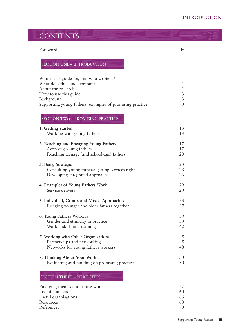## **CONTENTS**

#### Foreword iv

#### SECTION ONE – INTRODUCTION

| Who is this guide for, and who wrote it?                 | $\mathbf{1}$   |
|----------------------------------------------------------|----------------|
| What does this guide contain?                            | 1              |
| About the research                                       | $\overline{2}$ |
| How to use this guide                                    | $\overline{3}$ |
| Background                                               | $\overline{3}$ |
| Supporting young fathers: examples of promising practice | 9              |
| SECTION TWO - PROMISING PRACTICE                         |                |
| 1. Getting Started                                       | 13             |
| Working with young fathers                               | 13             |
| 2. Reaching and Engaging Young Fathers                   | 17             |
| Accessing young fathers                                  | 17             |
| Reaching teenage (and school-age) fathers                | 20             |
| 3. Being Strategic                                       | 23             |
| Consulting young fathers: getting services right         | 23             |
| Developing integrated approaches                         | 26             |
| 4. Examples of Young Fathers Work                        | 29             |
| Service delivery                                         | 29             |
| 5. Individual, Group, and Mixed Approaches               | 33             |
| Bringing younger and older fathers together              | 37             |
| 6. Young Fathers Workers                                 | 39             |
| Gender and ethnicity in practice                         | 39             |
| Worker skills and training                               | 42             |
| 7. Working with Other Organisations                      | 45             |
| Partnerships and networking                              | 45             |
| Networks for young fathers workers                       | 48             |
| 8. Thinking About Your Work                              | 50             |
| Evaluating and building on promising practice            | 50             |
| <b>SECTION THREE - NEXT STEPS</b>                        |                |

| Emerging themes and future work |    |
|---------------------------------|----|
| List of contacts                | 60 |
| Useful organisations            | 66 |
| Resources                       | 68 |
| References                      |    |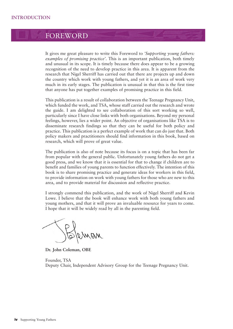## FOREWORD

It gives me great pleasure to write this Foreword to *'Supporting young fathers: examples of promising practice'*. This is an important publication, both timely and unusual in its scope. It is timely because there does appear to be a growing recognition of the need to develop practice in this area. It is apparent from the research that Nigel Sherriff has carried out that there are projects up and down the country which work with young fathers, and yet it is an area of work very much in its early stages. The publication is unusual in that this is the first time that anyone has put together examples of promising practice in this field.

This publication is a result of collaboration between the Teenage Pregnancy Unit, which funded the work, and TSA, whose staff carried out the research and wrote the guide. I am delighted to see collaboration of this sort working so well, particularly since I have close links with both organisations. Beyond my personal feelings, however, lies a wider point. An objective of organisations like TSA is to disseminate research findings so that they can be useful for both policy and practice. This publication is a perfect example of work that can do just that. Both policy makers and practitioners should find information in this book, based on research, which will prove of great value.

The publication is also of note because its focus is on a topic that has been far from popular with the general public. Unfortunately young fathers do not get a good press, and we know that it is essential for that to change if children are to benefit and families of young parents to function effectively. The intention of this book is to share promising practice and generate ideas for workers in this field, to provide information on work with young fathers for those who are new to this area, and to provide material for discussion and reflective practice.

I strongly commend this publication, and the work of Nigel Sherriff and Kevin Lowe. I believe that the book will enhance work with both young fathers and young mothers, and that it will prove an invaluable resource for years to come. I hope that it will be widely read by all in the parenting field.

**Dr. John Coleman, OBE**

Founder, TSA Deputy Chair, Independent Advisory Group for the Teenage Pregnancy Unit.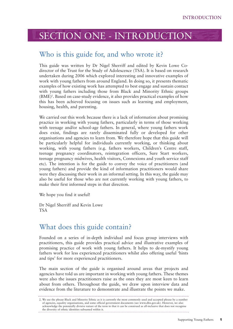## SECTION ONE - INTRODUCTION

## Who is this guide for, and who wrote it?

This guide was written by Dr Nigel Sherriff and edited by Kevin Lowe Codirector of the Trust for the Study of Adolescence (TSA). It is based on research undertaken during 2006 which explored interesting and innovative examples of work with young fathers from around England. In doing so, it presents thematic examples of how existing work has attempted to best engage and sustain contact with young fathers including those from Black and Minority Ethnic groups (BME)2 . Based on case-study evidence, it also provides practical examples of how this has been achieved focusing on issues such as learning and employment, housing, health, and parenting.

We carried out this work because there is a lack of information about promising practice in working with young fathers, particularly in terms of those working with teenage and/or school-age fathers. In general, where young fathers work does exist, findings are rarely disseminated fully or developed for other organisations and agencies to learn from. We therefore hope that this guide will be particularly helpful for individuals currently working, or thinking about working, with young fathers (e.g. fathers workers, Children's Centre staff, teenage pregnancy coordinators, reintegration officers, Sure Start workers, teenage pregnancy midwives, health visitors, Connexions and youth service staff etc). The intention is for the guide to convey the voice of practitioners (and young fathers) and provide the kind of information practitioners would share were they discussing their work in an informal setting. In this way, the guide may also be useful for those who are not currently working with young fathers, to make their first informed steps in that direction.

We hope you find it useful!

Dr Nigel Sherriff and Kevin Lowe TSA

### What does this guide contain?

Founded on a series of in-depth individual and focus group interviews with practitioners, this guide provides practical advice and illustrative examples of promising practice of work with young fathers. It helps to de-mystify young fathers work for less experienced practitioners whilst also offering useful 'hints and tips' for more experienced practitioners.

The main section of the guide is organised around areas that projects and agencies have told us are important in working with young fathers. These themes were also the issues practitioners raise as the ones they are most keen to learn about from others. Throughout the guide, we draw upon interview data and evidence from the literature to demonstrate and illustrate the points we make.

<sup>2.</sup> We use the phrase Black and Minority Ethnic as it is currently the most commonly used and accepted phrase by a number of agencies, equality organisations, and some official government documents (see www.dfes.gov.uk). However, we also acknowledge the potentially divisive nature of the term in that it can be construed as all-inclusive that does not recognise the diversity of ethnic identities subsumed within it.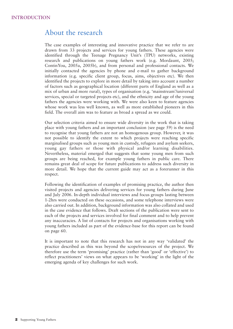## About the research

The case examples of interesting and innovative practice that we refer to are drawn from 33 projects and services for young fathers. These agencies were identified through the Teenage Pregnancy Unit's (TPU) networks, existing research and publications on young fathers work (e.g. Mordaunt, 2005; ContinYou, 2005a, 2005b), and from personal and professional contacts. We initially contacted the agencies by phone and e-mail to gather background information (e.g. specific client group, focus, aims, objectives etc). We then identified the projects to explore in more detail by taking into account a number of factors such as geographical location (different parts of England as well as a mix of urban and more rural), types of organisation (e.g. 'mainstream'/universal services, special or targeted projects etc), and the ethnicity and age of the young fathers the agencies were working with. We were also keen to feature agencies whose work was less well known, as well as more established pioneers in this field. The overall aim was to feature as broad a spread as we could.

Our selection criteria aimed to ensure wide diversity in the work that is taking place with young fathers and an important conclusion (see page 59) is the need to recognise that young fathers are not an homogenous group. However, it was not possible to identify the extent to which projects were reaching specific marginalised groups such as young men in custody, refugees and asylum seekers, young gay fathers or those with physical and/or learning disabilities. Nevertheless, material emerged that suggests that some young men from such groups are being reached, for example young fathers in public care. There remains great deal of scope for future publications to address such diversity in more detail. We hope that the current guide may act as a forerunner in this respect.

Following the identification of examples of promising practice, the author then visited projects and agencies delivering services for young fathers during June and July 2006. In-depth individual interviews and focus groups lasting between 1-2hrs were conducted on these occasions, and some telephone interviews were also carried out. In addition, background information was also collated and used in the case evidence that follows. Draft sections of the publication were sent to each of the projects and services involved for final comment and to help prevent any inaccuracies. A list of contacts for projects and organisations working with young fathers included as part of the evidence-base for this report can be found on page 60.

It is important to note that this research has not in any way 'validated' the practice described as this was beyond the scope/resources of the project. We therefore use the term 'promising' practice (rather than 'good' or 'effective') to reflect practitioners' views on what appears to be 'working' in the light of the emerging agenda of key challenges for such work.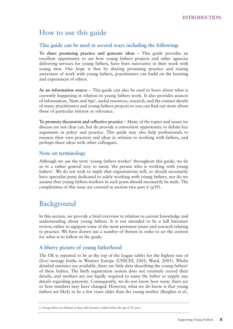## How to use this guide

#### **This guide can be used in several ways including the following:**

**To share promising practice and generate ideas** – This guide provides an excellent opportunity to see how young fathers projects and other agencies delivering services for young fathers, have been innovative in their work with young men. Our hope is that by sharing promising practice and raising awareness of work with young fathers, practitioners can build on the learning and experiences of others.

**As an information source** – This guide can also be used to learn about what is currently happening in relation to young fathers work. It also provides sources of information, 'hints and tips', useful resources, research, and the contact details of many practitioners and young fathers projects so you can find out more about those of particular interest or relevance.

**To promote discussion and reflective practice** – Many of the topics and issues we discuss are not clear cut, but do provide a convenient opportunity to debate key arguments in policy and practice. This guide may also help professionals to reassess their own practices and ideas in relation to working with fathers, and perhaps share ideas with other colleagues.

#### **Note on terminology**

Although we use the term 'young fathers worker' throughout this guide, we do so in a rather general way to mean 'the person who is working with young fathers'. We do not wish to imply that organisations will, or should necessarily have specialist posts dedicated to solely working with young fathers, nor do we assume that young fathers workers in such posts should necessarily be male. The complexities of this issue are covered in section two part 6 (p39).

## Background

In this section, we provide a brief overview in relation to current knowledge and understanding about young fathers. It is not intended to be a full literature review, rather to signpost some of the most pertinent issues and research relating to practice. We have drawn out a number of themes in order to set the context for what is to follow in the guide.

#### **A blurry picture of young fatherhood**

The UK is reported to be at the top of the league tables for the highest rate of (live) teenage births in Western Europe (UNICEF, 2001; Ward, 2005). Whilst detailed statistics are available, there are little data describing the young fathers<sup>3</sup> of these babies. The birth registration system does not routinely record their details, and mothers are not legally required to name the father or supply any details regarding paternity. Consequently, we do not know how many there are or how numbers may have changed. However, what we do know is that young fathers are likely to be a few years older than the young mother (Burghes *et al*.,

<sup>3.</sup> Young fathers are defined as those who became a father before the age of 25 years.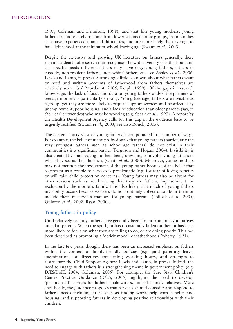1997; Coleman and Dennison, 1998), and that like young mothers, young fathers are more likely to come from lower socioeconomic groups, from families that have experienced financial difficulties, and are more likely than average to have left school at the minimum school leaving age (Swann *et al*., 2003).

Despite the extensive and growing UK literature on fathers generally, there remains a dearth of research that recognises the wide diversity of fatherhood and the specific needs different fathers may have (e.g. young fathers, fathers in custody, non-resident fathers, 'non-white' fathers etc; see Ashley *et al*., 2006; Lewis and Lamb, in press). Surprisingly little is known about what fathers want or need and written accounts of fatherhood from fathers themselves are relatively scarce (*c.f.* Mordaunt, 2005; Rolph, 1999). Of the gaps in research knowledge, the lack of focus and data on young fathers and/or the partners of teenage mothers is particularly striking. Young (teenage) fathers are invisible as a group, yet they are more likely to require support services and be affected by unemployment, poor housing, and a lack of education than older parents (say, in their earlier twenties) who may be working (e.g. Speak *et al*., 1997). A report by the Health Development Agency calls for this gap in the evidence base to be urgently rectified (Swann *et al*., 2003; see also Rouch, 2005).

The current blurry view of young fathers is compounded in a number of ways. For example, the belief of many professionals that young fathers (particularly the very youngest fathers such as school-age fathers) do not exist in their communities is a significant barrier (Ferguson and Hogan, 2004). Invisibility is also created by some young mothers being unwilling to involve young fathers in what they see as their business (Ghate *et al*., 2000). Moreover, young mothers may not mention the involvement of the young father because of the belief that to present as a couple to services is problematic (e.g. for fear of losing benefits or will raise child protection concerns). Young fathers may also be absent for other reasons such as not knowing that they are fathers, imprisonment, or exclusion by the mother's family. It is also likely that much of young fathers invisibility occurs because workers do not routinely collect data about them or include them in services that are for young 'parents' (Pollock *et al*., 2005; Quinton *et al*., 2002; Ryan, 2000).

#### **Young fathers in policy**

Until relatively recently, fathers have generally been absent from policy initiatives aimed at parents. When the spotlight has occasionally fallen on them it has been more likely to focus on what they are failing to do, or are doing poorly. This has been described as promoting a 'deficit model' of fatherhood (Doherty, 1991).

In the last few years though, there has been an increased emphasis on fathers within the context of family-friendly policies (e.g. paid paternity leave, examinations of directives concerning working hours, and attempts to restructure the Child Support Agency; Lewis and Lamb, in press). Indeed, the need to engage with fathers is a strengthening theme in government policy (e.g. D*f*ES/DoH, 2004; Goldman, 2005). For example, the Sure Start Children's Centre Practice Guidance (D*f*ES, 2005) highlights the need to develop 'personalised' services for fathers, male carers, and other male relatives. More specifically, the guidance proposes that services should consider and respond to fathers' needs including areas such as finding work, help with benefits and housing, and supporting fathers in developing positive relationships with their children.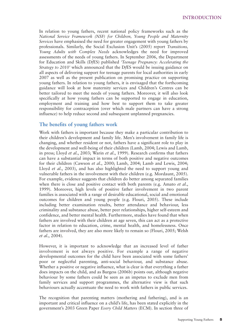In relation to young fathers, recent national policy frameworks such as the *National Service Framework (NSF) for Children, Young People and Maternity Services* have emphasised the need for greater engagement with young fathers by professionals. Similarly, the Social Exclusion Unit's (2005) report *Transitions, Young Adults with Complex Needs* acknowledges the need for improved assessments of the needs of young fathers. In September 2006, the Department for Education and Skills (D*f*ES) published *'Teenage Pregnancy: Accelerating the Strategy to 2010'* which announced that the D*fES* would be issuing guidance on all aspects of delivering support for teenage parents for local authorities in early 2007 as well as the present publication on promising practice on supporting young fathers. In relation to young fathers, it is envisaged that the forthcoming guidance will look at how maternity services and Children's Centres can be better tailored to meet the needs of young fathers. Moreover, it will also look specifically at how young fathers can be supported to engage in education, employment and training and how best to support them to take greater responsibility for contraception (over which male partners can have a strong influence) to help reduce second and subsequent unplanned pregnancies.

#### **The benefits of young fathers work**

Work with fathers is important because they make a particular contribution to their children's development and family life. Men's involvement in family life is changing, and whether resident or not, fathers have a significant role to play in the development and well-being of their children (Lamb, 2004; Lewis and Lamb, in press; Lloyd *et al*., 2003; Warin *et al*., 1999). Research confirms that fathers can have a substantial impact in terms of both positive and negative outcomes for their children (Cawson *et al*., 2000; Lamb, 2004; Lamb and Lewis, 2004; Lloyd *et al*., 2003), and has also highlighted the need to support young and vulnerable fathers in the involvement with their children (e.g. Mordaunt, 2005). For example, evidence suggests that children do better among separated families when there is close and positive contact with both parents (e.g. Amato *et al*., 1999). Moreover, high levels of positive father involvement in two parent families is associated with a range of desirable educational, social and emotional outcomes for children and young people (e.g. Flouri, 2005). These include including better examination results, better attendance and behaviour, less criminality and substance abuse, better peer relationships, higher self-esteem and confidence, and better mental health. Furthermore, studies have found that when fathers are involved with their children at age seven, this can act as a protective factor in relation to education, crime, mental health, and homelessness. Once fathers are involved, they are also more likely to remain so (Flouri, 2005; Welsh *et al*., 2004).

However, it is important to acknowledge that an increased level of father involvement is not always positive. For example a range of negative developmental outcomes for the child have been associated with some fathers' poor or neglectful parenting, anti-social behaviour, and substance abuse. Whether a positive or negative influence, what is clear is that everything a father does impacts on the child, and as Burgess (2006b) points out, although negative behaviour by some fathers could be seen as an impetus to exclude men from family services and support programmes, the alternative view is that such behaviours actually accentuate the need to work with fathers in public services.

The recognition that parenting matters (mothering and fathering), and is an important and critical influence on a child's life, has been stated explicitly in the government's 2003 Green Paper *Every Child Matters* (ECM). In section three of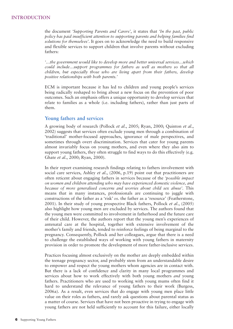the document *'Supporting Parents and Carers'*, it states that *'In the past, public policy has paid insufficient attention to supporting parents and helping families find solutions for themselves'*. It goes on to acknowledge the need to build responsive and flexible services to support children that involve parents without excluding fathers:

*'…the government would like to develop more and better universal services…which could include…support programmes for fathers as well as mothers so that all children, but especially those who are living apart from their fathers, develop positive relationships with both parents.'*

ECM is important because it has led to children and young people's services being radically reshaped to bring about a new focus on the prevention of poor outcomes. Such an emphasis offers a unique opportunity to develop services that relate to families as a whole (i.e. including fathers), rather than just parts of them.

#### **Young fathers and services**

A growing body of research (Pollock *et al*., 2005; Ryan, 2000; Quinton *et al*., 2002) suggests that services often exclude young men through a combination of 'traditional' mother-focused approaches, ignorance of male perspectives, and sometimes through overt discrimination. Services that cater for young parents almost invariably focus on young mothers, and even where they also aim to support young fathers, they often struggle to find ways to do this effectively (e.g. Ghate *et al*., 2000; Ryan, 2000).

In their report examining research findings relating to fathers involvement with social care services, Ashley *et al*., (2006, p.19) point out that practitioners are often reticent about engaging fathers in services because of the *'possible impact on women and children attending who may have experienced domestic violence, and because of more generalised concerns and worries about child sex abuse'*. This means that in many instances, professionals are continuing to juggle with constructions of the father as a 'risk' *vs*. the father as a 'resource' (Featherstone, 2001). In their study of young prospective Black fathers, Pollock *et al*., (2005) also highlight how young men are excluded by services. The authors found that the young men were committed to involvement in fatherhood and the future care of their child. However, the authors report that the young men's experiences of antenatal care at the hospital, together with extensive involvement of the mother's family and friends, tended to reinforce feelings of being marginal to the pregnancy. Consequently, Pollock and her colleagues, argue that there is a need to challenge the established ways of working with young fathers in maternity provision in order to promote the development of more father-inclusive services.

Practices focusing almost exclusively on the mother are deeply embedded within the teenage pregnancy sector, and probably stem from an understandable desire to empower and respect the young mothers whom agencies are in contact with. But there is a lack of confidence and clarity in many local programmes and services about how to work effectively with both young mothers *and* young fathers. Practitioners who are used to working with young mums often find it hard to understand the relevance of young fathers to their work (Burgess, 2006a). As a result, even services that do engage with young men place little value on their roles as fathers, and rarely ask questions about parental status as a matter of course. Services that have not been proactive in trying to engage with young fathers are not held sufficiently to account for this failure, either locally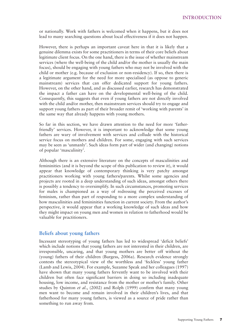or nationally. Work with fathers is welcomed when it happens, but it does not lead to many searching questions about local effectiveness if it does not happen.

However, there is perhaps an important caveat here in that it is likely that a genuine dilemma exists for some practitioners in terms of their core beliefs about legitimate client focus. On the one hand, there is the issue of whether mainstream services (where the well-being of the child and/or the mother is usually the main focus), should be engaging with young fathers who may not be involved with the child or mother (e.g. because of exclusion or non-residency). If so, then there is a legitimate argument for the need for more specialised (as oppose to generic mainstream) services that can offer dedicated support for young fathers. However, on the other hand, and as discussed earlier, research has demonstrated the impact a father can have on the developmental well-being of the child. Consequently, this suggests that even if young fathers are not directly involved with the child and/or mother, then mainstream services should try to engage and support young fathers as part of their broader remit of 'working with parents' in the same way that already happens with young mothers.

So far in this section, we have drawn attention to the need for more 'fatherfriendly' services. However, it is important to acknowledge that some young fathers are wary of involvement with services and collude with the historical service focus on mothers and children. For some, engaging with such services may be seen as 'unmanly'. Such ideas form part of wider (and changing) notions of popular 'masculinity'.

Although there is an extensive literature on the concepts of masculinities and femininities (and it is beyond the scope of this publication to review it), it would appear that knowledge of contemporary thinking is very patchy amongst practitioners working with young fathers/parents. Whilst some agencies and projects are rooted in a deep understanding of such ideas, amongst others there is possibly a tendency to oversimplify. In such circumstances, promoting services for males is championed as a way of redressing the perceived excesses of feminism, rather than part of responding to a more complex understanding of how masculinities and femininities function in current society. From the author's perspective, it would appear that a working knowledge of such ideas and how they might impact on young men and women in relation to fatherhood would be valuable for practitioners.

#### **Beliefs about young fathers**

Incessant stereotyping of young fathers has led to widespread 'deficit beliefs' which include notions that young fathers are not interested in their children, are irresponsible, uncaring, and that young mothers are better off without the (young) fathers of their children (Burgess, 2006a). Research evidence strongly contests the stereotypical view of the worthless and 'feckless' young father (Lamb and Lewis, 2004). For example, Suzanne Speak and her colleagues (1997) have shown that many young fathers fervently want to be involved with their children but often face significant barriers in doing so including inadequate housing, low income, and resistance from the mother or mother's family. Other studies by Quinton *et al*., (2002) and Rolph (1999) confirm that many young men want to become and remain involved in their children's lives, and that fatherhood for many young fathers, is viewed as a source of pride rather than something to run away from.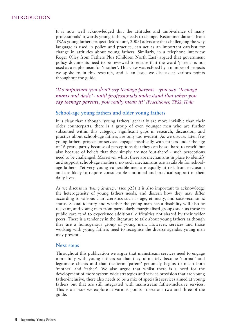It is now well acknowledged that the attitudes and ambivalence of many professionals' towards young fathers, needs to change. Recommendations from TSA's young fathers project (Mordaunt, 2005) advocate that challenging the way language is used in policy and practice, can act as an important catalyst for change in attitudes about young fathers. Similarly, in a telephone interview Roger Olley from Fathers Plus (Children North East) argued that government policy documents need to be reviewed to ensure that the word 'parent' is not used as a euphemism for 'mother'. This view was echoed by a number of projects we spoke to in this research, and is an issue we discuss at various points throughout the guide.

*'It's important you don't say teenage parents - you say "teenage mums and dads"- until professionals understand that when you say teenage parents, you really mean it!' (Practitioner, TPSS, Hull)* 

#### **School-age young fathers and older young fathers**

It is clear that although 'young fathers' generally are more invisible than their older counterparts, there is a group of even younger men who are further subsumed within this category. Significant gaps in research, discussion, and practice about school-age fathers are only too evident. As we discuss later, few young fathers projects or services engage specifically with fathers under the age of 16 years, partly because of perceptions that they can be so 'hard-to-reach' but also because of beliefs that they simply are not 'out-there' - such perceptions need to be challenged. Moreover, whilst there are mechanisms in place to identify and support school-age mothers, no such mechanisms are available for schoolage fathers. Yet very young vulnerable men are equally at risk from exclusion and are likely to require considerable emotional and practical support in their daily lives.

As we discuss in *'Being Strategic'* (see p23) it is also important to acknowledge the heterogeneity of young fathers needs, and discern how they may differ according to various characteristics such as age, ethnicity, and socio-economic status. Sexual identity and whether the young man has a disability will also be relevant, and young men from particularly marginalised groups such as those in public care tend to experience additional difficulties not shared by their wider peers. There is a tendency in the literature to talk about young fathers as though they are a homogenous group of young men. However, services and those working with young fathers need to recognise the diverse agendas young men may present.

#### **Next steps**

Throughout this publication we argue that mainstream services need to engage more fully with young fathers so that they ultimately become 'normal' and legitimate clients and that the term 'parent' genuinely begins to mean both 'mother' and 'father'. We also argue that whilst there is a need for the development of more system-wide strategies and service provision that are young father-inclusive, there also needs to be a mix of specialist services aimed at young fathers but that are still integrated with mainstream father-inclusive services. This is an issue we explore at various points in sections two and three of the guide.